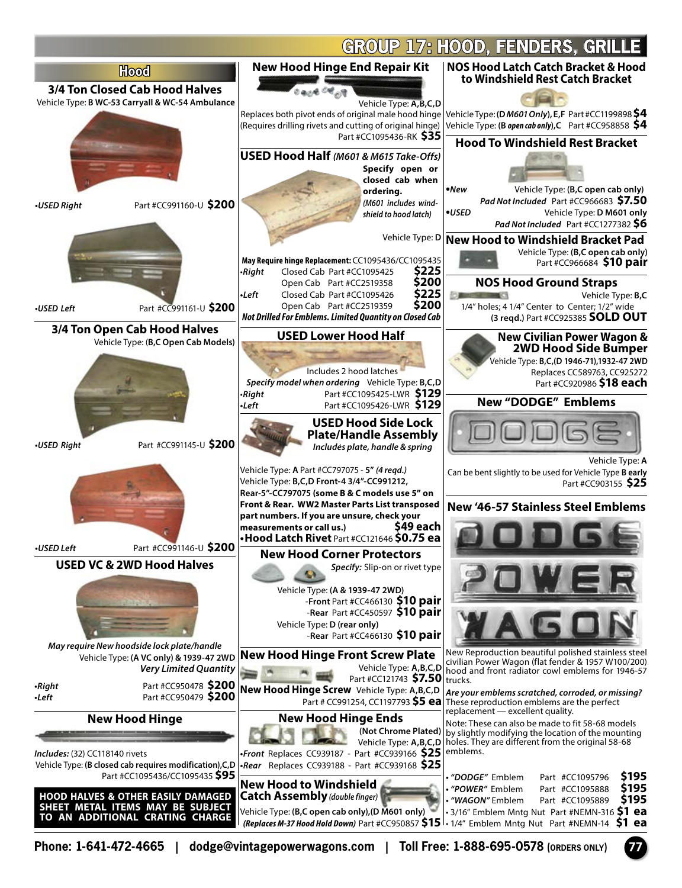

**Phone: 1-641-472-4665 | dodge@vintagepowerwagons.com | Toll Free: 1-888-695-0578 (ORDERS ONLY) 77**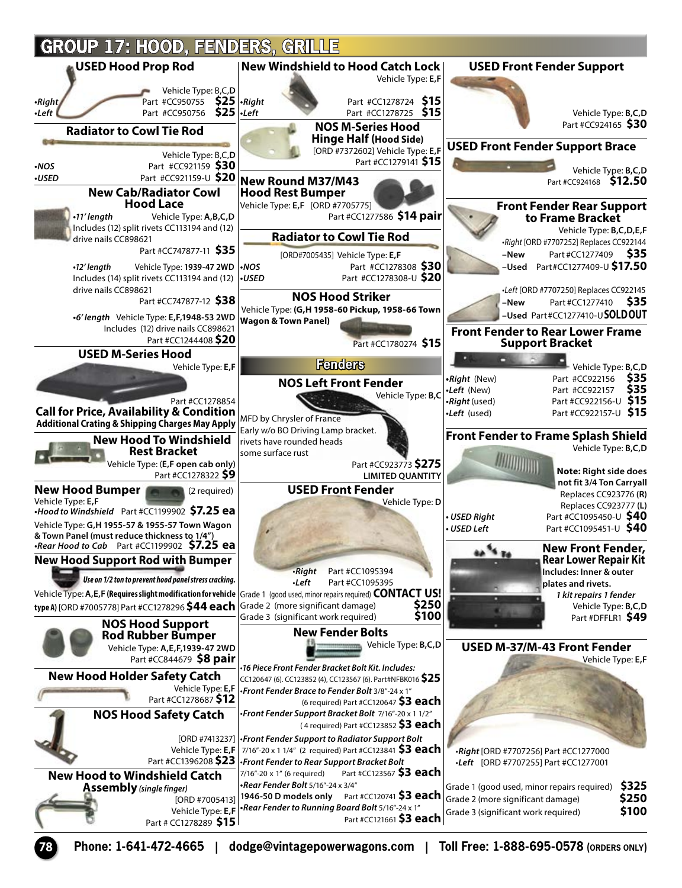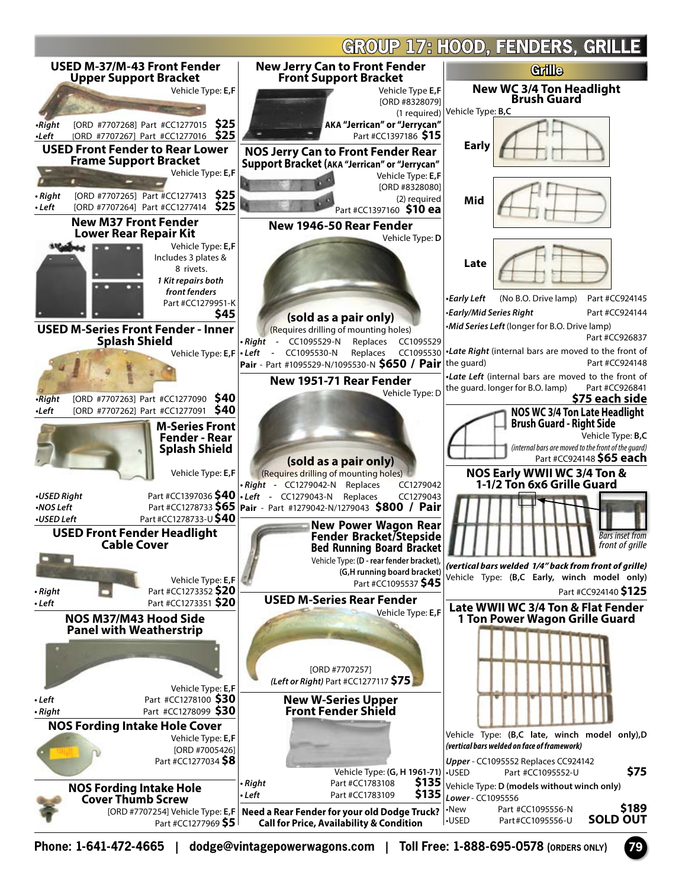

**Phone: 1-641-472-4665 | dodge@vintagepowerwagons.com | Toll Free: 1-888-695-0578 (ORDERS ONLY) 79**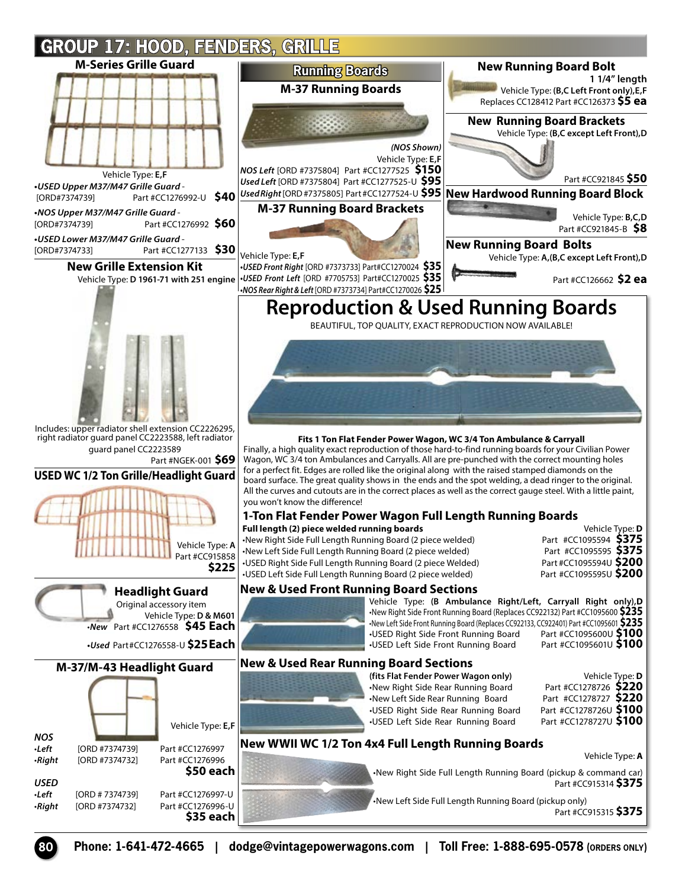